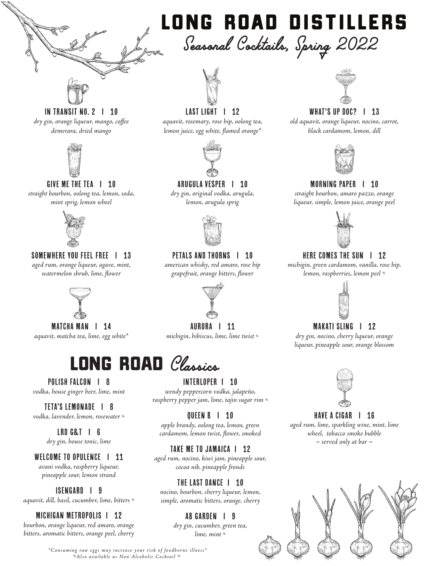

# *Seasonal Cocktails, Spring 2022* LONG ROAD DISTILLERS



#### In Transit No. 2 I 10 *dry gin, orange liqueur, mango, coffee demerara, dried mango*



### GIVE ME THE TEA | 10

*straight bourbon, oolong tea, lemon, soda, mint sprig, lemon wheel*



#### SOMEWHERE YOU FEEL FREE | 13 *aged rum, orange liqueur, agave, mint, watermelon shrub, lime, flower*



MATCHA MAN | 14 *aquavit, matcha tea, lime, egg white\**

# LONG ROAD *Classics*

POLISH FALCON | 8 *vodka, house ginger beer, lime, mint*

TETA'S LEMONADE I 8 *vodka, lavender, lemon, rosewater %*

> LRD G&T I 6 *dry gin, house tonic, lime*

WELCOME TO OPULENCE | 11 *avani vodka, raspberry liqueur, pineapple sour, lemon strand*

ISENGARD I 9 *aquavit, dill, basil, cucumber, lime, bitters %*

# MICHIGAN METROPOLIS I 12

*bourbon, orange liqueur, red amaro, orange bitters, aromatic bitters, orange peel, cherry*

### LAST LIGHT | 12

*aquavit, rosemary, rose hip, oolong tea, lemon juice, egg white, flamed orange\**



### Arugula Vesper I 10

*dry gin, original vodka, arugula, lemon, arugula sprig*



PETALS AND THORNS | 10

*american whisky, red amaro, rose hip grapefruit, orange bitters, flower*



AURORA I 11 *michigin, hibiscus, lime, lime twist %*

INTERLOPER I 10 *wendy peppercorn vodka, jalapeño, raspberry pepper jam, lime, tajin sugar rim %*

QUEEN B I 10 *apple brandy, oolong tea, lemon, green cardamom, lemon twist, flower, smoked*

# TAKE ME TO JAMAICA | 12

*aged rum, nocino, kiwi jam, pineapple sour, cocoa nib, pineapple fronds*

### THE LAST DANCE **1** 10

*nocino, bourbon, cherry liqueur, lemon, simple, aromatic bitters, orange, cherry*

# AB GARDEN I 9

*dry gin, cucumber, green tea, lime, mint %*

# WHAT'S UP DOC? | 13

*old aquavit, orange liqueur, nocino, carrot, black cardamom, lemon, dill*



### Morning Paper I 10

*straight bourbon, amaro pazzo, orange liqueur, simple, lemon juice, orange peel*



# HERE COMES THE SUN | 12

*michigin, green cardamom, vanilla, rose hip, lemon, raspberries, lemon peel %*



# MAKATI SLING | 12

*dry gin, nocino, cherry liqueur, orange liqueur, pineapple sour, orange blossom*



# HAVE A CIGAR | 16

*aged rum, lime, sparkling wine, mint, lime wheel, tobacco smoke bubble ~ served only at bar ~*



*%Also available as Non-Alcoholic Cocktail % \*Consuming raw eggs may increase your risk of foodborne illness\**